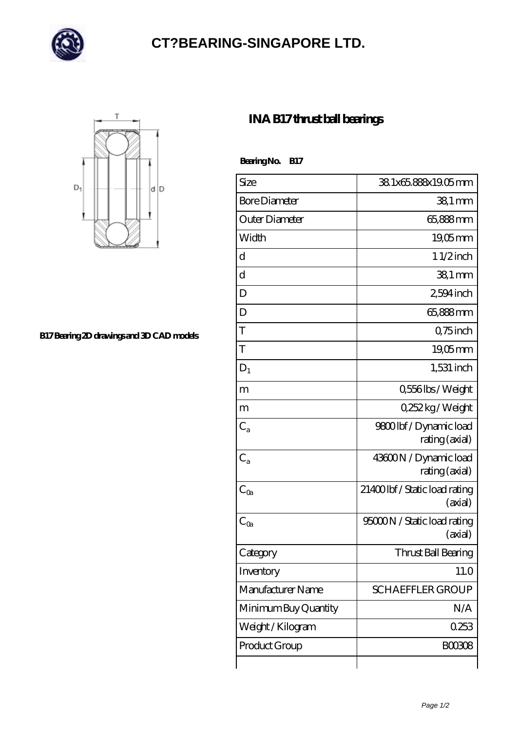

## **[CT?BEARING-SINGAPORE LTD.](https://uipqp.com)**



**[B17 Bearing 2D drawings and 3D CAD models](https://uipqp.com/pic-46478.html)**

## **[INA B17 thrust ball bearings](https://uipqp.com/ar-46478-ina-b17-thrust-ball-bearings.html)**

Bearing No. B17

| Size                 | 38.1x65.888x19.05mm                       |
|----------------------|-------------------------------------------|
| <b>Bore Diameter</b> | $381$ mm                                  |
| Outer Diameter       | 65,888mm                                  |
| Width                | 19,05mm                                   |
| d                    | $11/2$ inch                               |
| d                    | $381$ mm                                  |
| D                    | 2,594 inch                                |
| D                    | 65,888mm                                  |
| T                    | Q75 inch                                  |
| T                    | $19,05$ mm                                |
| $D_1$                | $1,531$ inch                              |
| m                    | 0,556lbs/Weight                           |
| m                    | Q252kg/Weight                             |
| $C_{a}$              | 9800lbf/Dynamic load<br>rating (axial)    |
| $C_{a}$              | 43600N / Dynamic load<br>rating (axial)   |
| $C_{\rm Oa}$         | 21400 lbf / Static load rating<br>(axial) |
| $C_{\text{Qa}}$      | 95000N / Static load rating<br>(axial)    |
| Category             | Thrust Ball Bearing                       |
| Inventory            | 11.0                                      |
| Manufacturer Name    | <b>SCHAEFFLER GROUP</b>                   |
| Minimum Buy Quantity | N/A                                       |
| Weight / Kilogram    | 0253                                      |
| Product Group        | <b>BOO3O8</b>                             |
|                      |                                           |